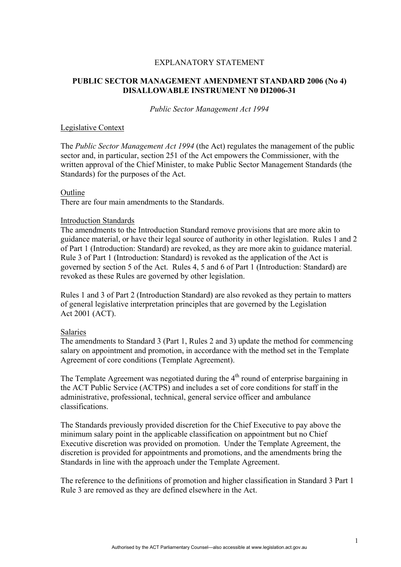# EXPLANATORY STATEMENT

# **PUBLIC SECTOR MANAGEMENT AMENDMENT STANDARD 2006 (No 4) DISALLOWABLE INSTRUMENT N0 DI2006-31**

*Public Sector Management Act 1994* 

## Legislative Context

The *Public Sector Management Act 1994* (the Act) regulates the management of the public sector and, in particular, section 251 of the Act empowers the Commissioner, with the written approval of the Chief Minister, to make Public Sector Management Standards (the Standards) for the purposes of the Act.

## **Outline**

There are four main amendments to the Standards.

# Introduction Standards

The amendments to the Introduction Standard remove provisions that are more akin to guidance material, or have their legal source of authority in other legislation. Rules 1 and 2 of Part 1 (Introduction: Standard) are revoked, as they are more akin to guidance material. Rule 3 of Part 1 (Introduction: Standard) is revoked as the application of the Act is governed by section 5 of the Act. Rules 4, 5 and 6 of Part 1 (Introduction: Standard) are revoked as these Rules are governed by other legislation.

Rules 1 and 3 of Part 2 (Introduction Standard) are also revoked as they pertain to matters of general legislative interpretation principles that are governed by the Legislation Act 2001 (ACT).

## Salaries

The amendments to Standard 3 (Part 1, Rules 2 and 3) update the method for commencing salary on appointment and promotion, in accordance with the method set in the Template Agreement of core conditions (Template Agreement).

The Template Agreement was negotiated during the  $4<sup>th</sup>$  round of enterprise bargaining in the ACT Public Service (ACTPS) and includes a set of core conditions for staff in the administrative, professional, technical, general service officer and ambulance classifications.

The Standards previously provided discretion for the Chief Executive to pay above the minimum salary point in the applicable classification on appointment but no Chief Executive discretion was provided on promotion. Under the Template Agreement, the discretion is provided for appointments and promotions, and the amendments bring the Standards in line with the approach under the Template Agreement.

The reference to the definitions of promotion and higher classification in Standard 3 Part 1 Rule 3 are removed as they are defined elsewhere in the Act.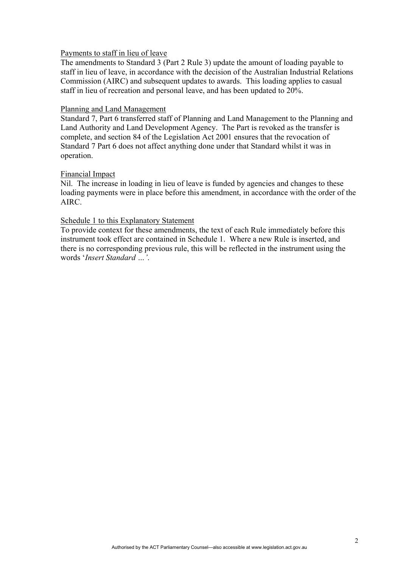# Payments to staff in lieu of leave

The amendments to Standard 3 (Part 2 Rule 3) update the amount of loading payable to staff in lieu of leave, in accordance with the decision of the Australian Industrial Relations Commission (AIRC) and subsequent updates to awards. This loading applies to casual staff in lieu of recreation and personal leave, and has been updated to 20%.

## Planning and Land Management

Standard 7, Part 6 transferred staff of Planning and Land Management to the Planning and Land Authority and Land Development Agency. The Part is revoked as the transfer is complete, and section 84 of the Legislation Act 2001 ensures that the revocation of Standard 7 Part 6 does not affect anything done under that Standard whilst it was in operation.

# Financial Impact

Nil. The increase in loading in lieu of leave is funded by agencies and changes to these loading payments were in place before this amendment, in accordance with the order of the AIRC.

# Schedule 1 to this Explanatory Statement

To provide context for these amendments, the text of each Rule immediately before this instrument took effect are contained in Schedule 1. Where a new Rule is inserted, and there is no corresponding previous rule, this will be reflected in the instrument using the words '*Insert Standard …'*.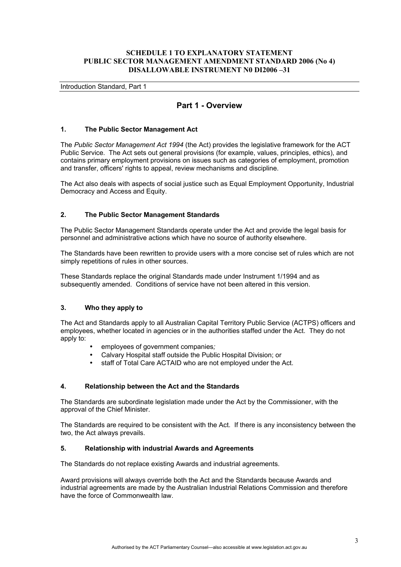## **SCHEDULE 1 TO EXPLANATORY STATEMENT PUBLIC SECTOR MANAGEMENT AMENDMENT STANDARD 2006 (No 4) DISALLOWABLE INSTRUMENT N0 DI2006 –31**

#### Introduction Standard, Part 1

# **Part 1 - Overview**

#### **1. The Public Sector Management Act**

The *Public Sector Management Act 1994* (the Act) provides the legislative framework for the ACT Public Service. The Act sets out general provisions (for example, values, principles, ethics), and contains primary employment provisions on issues such as categories of employment, promotion and transfer, officers' rights to appeal, review mechanisms and discipline.

The Act also deals with aspects of social justice such as Equal Employment Opportunity, Industrial Democracy and Access and Equity.

#### **2. The Public Sector Management Standards**

The Public Sector Management Standards operate under the Act and provide the legal basis for personnel and administrative actions which have no source of authority elsewhere.

The Standards have been rewritten to provide users with a more concise set of rules which are not simply repetitions of rules in other sources.

These Standards replace the original Standards made under Instrument 1/1994 and as subsequently amended. Conditions of service have not been altered in this version.

#### **3. Who they apply to**

The Act and Standards apply to all Australian Capital Territory Public Service (ACTPS) officers and employees, whether located in agencies or in the authorities staffed under the Act. They do not apply to:

- employees of government companies*;*
- Calvary Hospital staff outside the Public Hospital Division; or
- staff of Total Care ACTAID who are not employed under the Act.

## **4. Relationship between the Act and the Standards**

The Standards are subordinate legislation made under the Act by the Commissioner, with the approval of the Chief Minister.

The Standards are required to be consistent with the Act. If there is any inconsistency between the two, the Act always prevails.

#### **5. Relationship with industrial Awards and Agreements**

The Standards do not replace existing Awards and industrial agreements.

Award provisions will always override both the Act and the Standards because Awards and industrial agreements are made by the Australian Industrial Relations Commission and therefore have the force of Commonwealth law.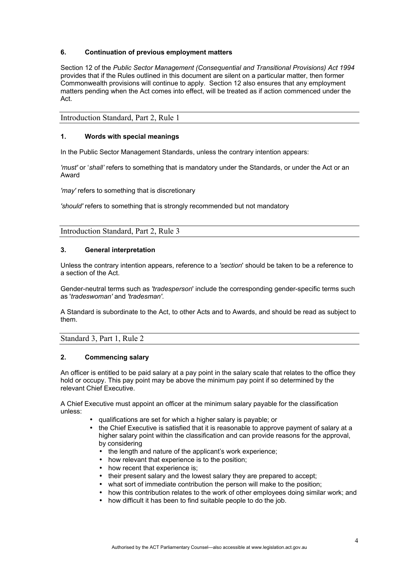# **6. Continuation of previous employment matters**

Section 12 of the *Public Sector Management (Consequential and Transitional Provisions) Act 1994* provides that if the Rules outlined in this document are silent on a particular matter, then former Commonwealth provisions will continue to apply. Section 12 also ensures that any employment matters pending when the Act comes into effect, will be treated as if action commenced under the Act.

Introduction Standard, Part 2, Rule 1

## **1. Words with special meanings**

In the Public Sector Management Standards, unless the contrary intention appears:

*'must'* or '*shall'* refers to something that is mandatory under the Standards, or under the Act or an Award

*'may'* refers to something that is discretionary

*'should'* refers to something that is strongly recommended but not mandatory

Introduction Standard, Part 2, Rule 3

#### **3. General interpretation**

Unless the contrary intention appears, reference to a *'section*' should be taken to be a reference to a section of the Act.

Gender-neutral terms such as *'tradesperson*' include the corresponding gender-specific terms such as '*tradeswoman'* and *'tradesman'*.

A Standard is subordinate to the Act, to other Acts and to Awards, and should be read as subject to them.

## Standard 3, Part 1, Rule 2

#### **2. Commencing salary**

An officer is entitled to be paid salary at a pay point in the salary scale that relates to the office they hold or occupy. This pay point may be above the minimum pay point if so determined by the relevant Chief Executive.

A Chief Executive must appoint an officer at the minimum salary payable for the classification unless:

- qualifications are set for which a higher salary is payable; or
- the Chief Executive is satisfied that it is reasonable to approve payment of salary at a higher salary point within the classification and can provide reasons for the approval, by considering
	- the length and nature of the applicant's work experience;
	- how relevant that experience is to the position;
	- how recent that experience is;
	- their present salary and the lowest salary they are prepared to accept;
	- what sort of immediate contribution the person will make to the position;
	- how this contribution relates to the work of other employees doing similar work; and
	- how difficult it has been to find suitable people to do the job.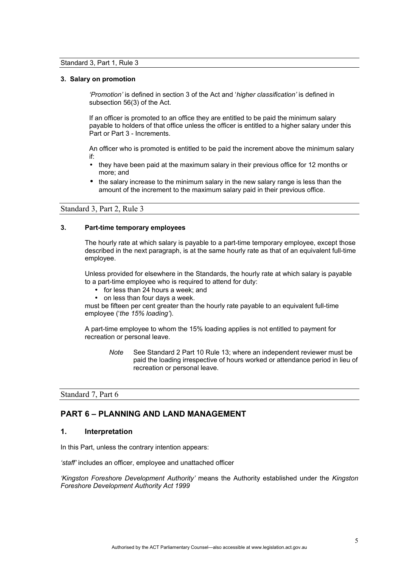#### **3. Salary on promotion**

*'Promotion'* is defined in section 3 of the Act and '*higher classification'* is defined in subsection 56(3) of the Act.

If an officer is promoted to an office they are entitled to be paid the minimum salary payable to holders of that office unless the officer is entitled to a higher salary under this Part or Part 3 - Increments.

An officer who is promoted is entitled to be paid the increment above the minimum salary if:

- they have been paid at the maximum salary in their previous office for 12 months or more; and
- the salary increase to the minimum salary in the new salary range is less than the amount of the increment to the maximum salary paid in their previous office.

#### Standard 3, Part 2, Rule 3

#### **3. Part-time temporary employees**

The hourly rate at which salary is payable to a part-time temporary employee, except those described in the next paragraph, is at the same hourly rate as that of an equivalent full-time employee.

Unless provided for elsewhere in the Standards, the hourly rate at which salary is payable to a part-time employee who is required to attend for duty:

- for less than 24 hours a week; and
- on less than four days a week.

must be fifteen per cent greater than the hourly rate payable to an equivalent full-time employee ('*the 15% loading'*).

A part-time employee to whom the 15% loading applies is not entitled to payment for recreation or personal leave.

*Note* See Standard 2 Part 10 Rule 13; where an independent reviewer must be paid the loading irrespective of hours worked or attendance period in lieu of recreation or personal leave.

Standard 7, Part 6

# **PART 6 – PLANNING AND LAND MANAGEMENT**

#### **1. Interpretation**

In this Part, unless the contrary intention appears:

*'staff'* includes an officer, employee and unattached officer

*'Kingston Foreshore Development Authority'* means the Authority established under the *Kingston Foreshore Development Authority Act 1999*